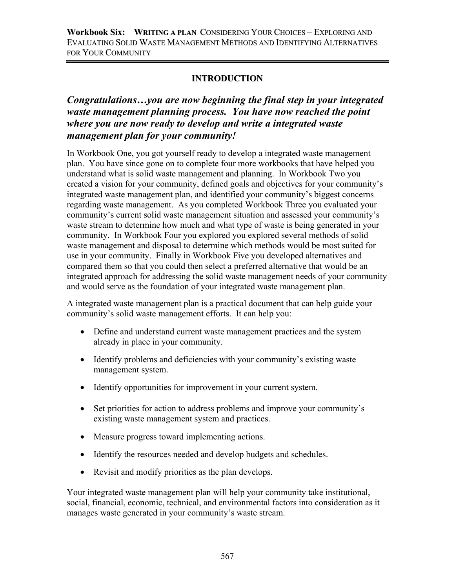# **INTRODUCTION**

# *Congratulations…you are now beginning the final step in your integrated waste management planning process. You have now reached the point where you are now ready to develop and write a integrated waste management plan for your community!*

In Workbook One, you got yourself ready to develop a integrated waste management plan. You have since gone on to complete four more workbooks that have helped you understand what is solid waste management and planning. In Workbook Two you created a vision for your community, defined goals and objectives for your community's integrated waste management plan, and identified your community's biggest concerns regarding waste management. As you completed Workbook Three you evaluated your community's current solid waste management situation and assessed your community's waste stream to determine how much and what type of waste is being generated in your community. In Workbook Four you explored you explored several methods of solid waste management and disposal to determine which methods would be most suited for use in your community. Finally in Workbook Five you developed alternatives and compared them so that you could then select a preferred alternative that would be an integrated approach for addressing the solid waste management needs of your community and would serve as the foundation of your integrated waste management plan.

A integrated waste management plan is a practical document that can help guide your community's solid waste management efforts. It can help you:

- Define and understand current waste management practices and the system already in place in your community.
- Identify problems and deficiencies with your community's existing waste management system.
- Identify opportunities for improvement in your current system.
- Set priorities for action to address problems and improve your community's existing waste management system and practices.
- Measure progress toward implementing actions.
- Identify the resources needed and develop budgets and schedules.
- Revisit and modify priorities as the plan develops.

Your integrated waste management plan will help your community take institutional, social, financial, economic, technical, and environmental factors into consideration as it manages waste generated in your community's waste stream.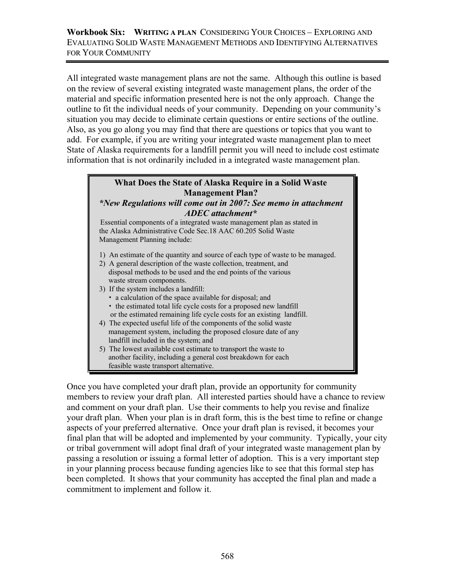#### **Workbook Six: WRITING A PLAN** CONSIDERING YOUR CHOICES – EXPLORING AND EVALUATING SOLID WASTE MANAGEMENT METHODS AND IDENTIFYING ALTERNATIVES FOR YOUR COMMUNITY

All integrated waste management plans are not the same. Although this outline is based on the review of several existing integrated waste management plans, the order of the material and specific information presented here is not the only approach. Change the outline to fit the individual needs of your community. Depending on your community's situation you may decide to eliminate certain questions or entire sections of the outline. Also, as you go along you may find that there are questions or topics that you want to add. For example, if you are writing your integrated waste management plan to meet State of Alaska requirements for a landfill permit you will need to include cost estimate information that is not ordinarily included in a integrated waste management plan.

## **What Does the State of Alaska Require in a Solid Waste Management Plan?**

*\*New Regulations will come out in 2007: See memo in attachment ADEC attachment\** 

Essential components of a integrated waste management plan as stated in the Alaska Administrative Code Sec.18 AAC 60.205 Solid Waste Management Planning include:

- 1) An estimate of the quantity and source of each type of waste to be managed.
- 2) A general description of the waste collection, treatment, and disposal methods to be used and the end points of the various waste stream components.
- 3) If the system includes a landfill:
	- a calculation of the space available for disposal; and
	- $\cdot$  the estimated total life cycle costs for a proposed new landfill or the estimated remaining life cycle costs for an existing landfill.
- 4) The expected useful life of the components of the solid waste management system, including the proposed closure date of any landfill included in the system; and
- 5) The lowest available cost estimate to transport the waste to another facility, including a general cost breakdown for each feasible waste transport alternative.

Once you have completed your draft plan, provide an opportunity for community members to review your draft plan. All interested parties should have a chance to review and comment on your draft plan. Use their comments to help you revise and finalize your draft plan. When your plan is in draft form, this is the best time to refine or change aspects of your preferred alternative. Once your draft plan is revised, it becomes your final plan that will be adopted and implemented by your community. Typically, your city or tribal government will adopt final draft of your integrated waste management plan by passing a resolution or issuing a formal letter of adoption. This is a very important step in your planning process because funding agencies like to see that this formal step has been completed. It shows that your community has accepted the final plan and made a commitment to implement and follow it.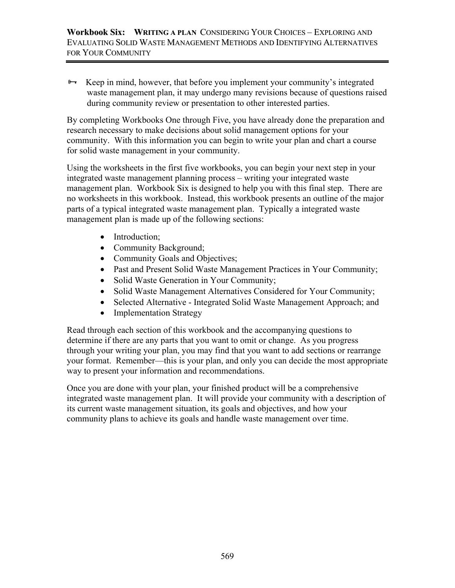$\rightarrow$  Keep in mind, however, that before you implement your community's integrated waste management plan, it may undergo many revisions because of questions raised during community review or presentation to other interested parties.

By completing Workbooks One through Five, you have already done the preparation and research necessary to make decisions about solid management options for your community. With this information you can begin to write your plan and chart a course for solid waste management in your community.

Using the worksheets in the first five workbooks, you can begin your next step in your integrated waste management planning process – writing your integrated waste management plan. Workbook Six is designed to help you with this final step. There are no worksheets in this workbook. Instead, this workbook presents an outline of the major parts of a typical integrated waste management plan. Typically a integrated waste management plan is made up of the following sections:

- Introduction;
- Community Background;
- Community Goals and Objectives;
- Past and Present Solid Waste Management Practices in Your Community;
- Solid Waste Generation in Your Community;
- Solid Waste Management Alternatives Considered for Your Community;
- Selected Alternative Integrated Solid Waste Management Approach; and
- Implementation Strategy

Read through each section of this workbook and the accompanying questions to determine if there are any parts that you want to omit or change. As you progress through your writing your plan, you may find that you want to add sections or rearrange your format. Remember—this is your plan, and only you can decide the most appropriate way to present your information and recommendations.

Once you are done with your plan, your finished product will be a comprehensive integrated waste management plan. It will provide your community with a description of its current waste management situation, its goals and objectives, and how your community plans to achieve its goals and handle waste management over time.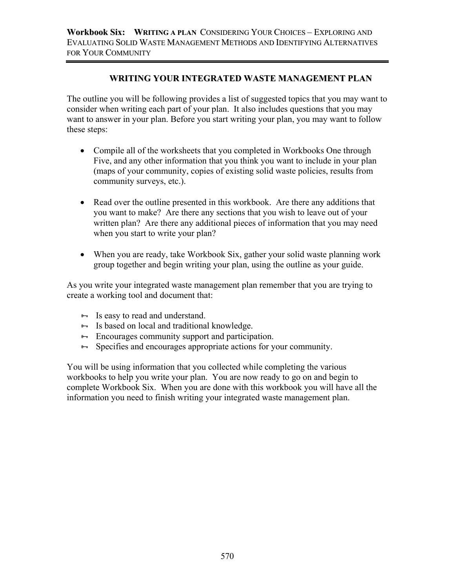# **WRITING YOUR INTEGRATED WASTE MANAGEMENT PLAN**

The outline you will be following provides a list of suggested topics that you may want to consider when writing each part of your plan. It also includes questions that you may want to answer in your plan. Before you start writing your plan, you may want to follow these steps:

- Compile all of the worksheets that you completed in Workbooks One through Five, and any other information that you think you want to include in your plan (maps of your community, copies of existing solid waste policies, results from community surveys, etc.).
- Read over the outline presented in this workbook. Are there any additions that you want to make? Are there any sections that you wish to leave out of your written plan? Are there any additional pieces of information that you may need when you start to write your plan?
- When you are ready, take Workbook Six, gather your solid waste planning work group together and begin writing your plan, using the outline as your guide.

As you write your integrated waste management plan remember that you are trying to create a working tool and document that:

- $\overline{\mathbf{B}}$  Is easy to read and understand.
- $\overline{\mathbf{B}}$  Is based on local and traditional knowledge.
- $\rightarrow$  Encourages community support and participation.
- $\rightarrow$  Specifies and encourages appropriate actions for your community.

You will be using information that you collected while completing the various workbooks to help you write your plan. You are now ready to go on and begin to complete Workbook Six. When you are done with this workbook you will have all the information you need to finish writing your integrated waste management plan.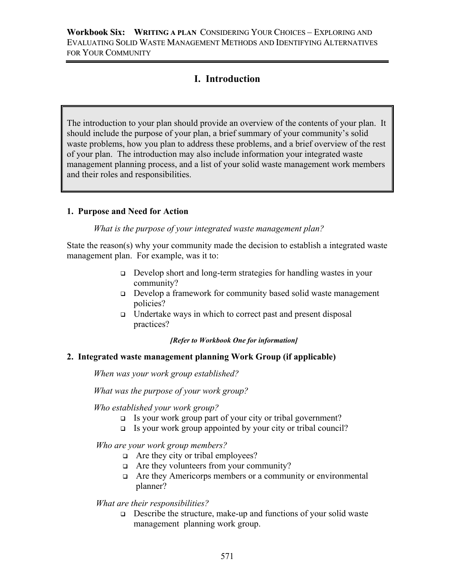# **I. Introduction**

The introduction to your plan should provide an overview of the contents of your plan. It should include the purpose of your plan, a brief summary of your community's solid waste problems, how you plan to address these problems, and a brief overview of the rest of your plan. The introduction may also include information your integrated waste management planning process, and a list of your solid waste management work members and their roles and responsibilities.

## **1. Purpose and Need for Action**

*What is the purpose of your integrated waste management plan?*

State the reason(s) why your community made the decision to establish a integrated waste management plan. For example, was it to:

- Develop short and long-term strategies for handling wastes in your community?
- Develop a framework for community based solid waste management policies?
- $\Box$  Undertake ways in which to correct past and present disposal practices?

*[Refer to Workbook One for information]* 

## **2. Integrated waste management planning Work Group (if applicable)**

*When was your work group established?* 

*What was the purpose of your work group?* 

*Who established your work group?* 

- $\Box$  Is your work group part of your city or tribal government?
- $\Box$  Is your work group appointed by your city or tribal council?

*Who are your work group members?* 

- □ Are they city or tribal employees?
- $\Box$  Are they volunteers from your community?
- Are they Americorps members or a community or environmental planner?

## *What are their responsibilities?*

 $\Box$  Describe the structure, make-up and functions of your solid waste management planning work group.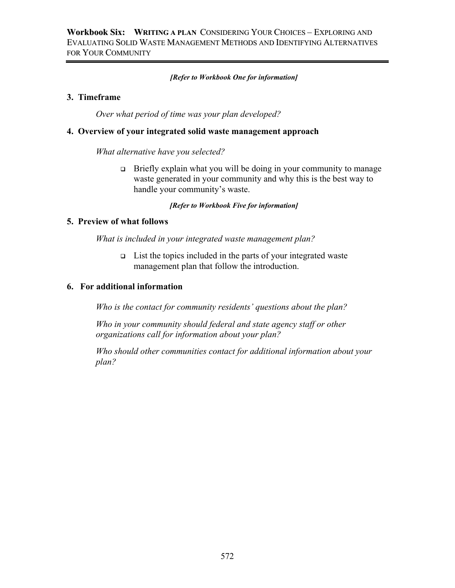#### *[Refer to Workbook One for information]*

#### **3. Timeframe**

*Over what period of time was your plan developed?*

#### **4. Overview of your integrated solid waste management approach**

*What alternative have you selected?* 

 $\Box$  Briefly explain what you will be doing in your community to manage waste generated in your community and why this is the best way to handle your community's waste.

*[Refer to Workbook Five for information]* 

#### **5. Preview of what follows**

*What is included in your integrated waste management plan?* 

 $\Box$  List the topics included in the parts of your integrated waste management plan that follow the introduction.

#### **6. For additional information**

*Who is the contact for community residents' questions about the plan?* 

*Who in your community should federal and state agency staff or other organizations call for information about your plan?* 

*Who should other communities contact for additional information about your plan?*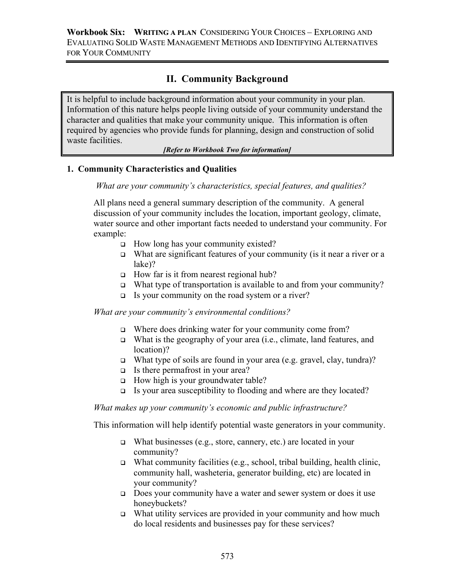# **II. Community Background**

It is helpful to include background information about your community in your plan. Information of this nature helps people living outside of your community understand the character and qualities that make your community unique. This information is often required by agencies who provide funds for planning, design and construction of solid waste facilities.

#### *[Refer to Workbook Two for information]*

## **1. Community Characteristics and Qualities**

*What are your community's characteristics, special features, and qualities?* 

All plans need a general summary description of the community. A general discussion of your community includes the location, important geology, climate, water source and other important facts needed to understand your community. For example:

- $\Box$  How long has your community existed?
- What are significant features of your community (is it near a river or a lake)?
- $\Box$  How far is it from nearest regional hub?
- What type of transportation is available to and from your community?
- Is your community on the road system or a river?

*What are your community's environmental conditions?* 

- □ Where does drinking water for your community come from?
- What is the geography of your area (i.e., climate, land features, and location)?
- What type of soils are found in your area (e.g. gravel, clay, tundra)?
- $\Box$  Is there permafrost in your area?
- $\Box$  How high is your groundwater table?
- $\Box$  Is your area susceptibility to flooding and where are they located?

*What makes up your community's economic and public infrastructure?* 

This information will help identify potential waste generators in your community.

- What businesses (e.g., store, cannery, etc.) are located in your community?
- What community facilities (e.g., school, tribal building, health clinic, community hall, washeteria, generator building, etc) are located in your community?
- $\Box$  Does your community have a water and sewer system or does it use honeybuckets?
- What utility services are provided in your community and how much do local residents and businesses pay for these services?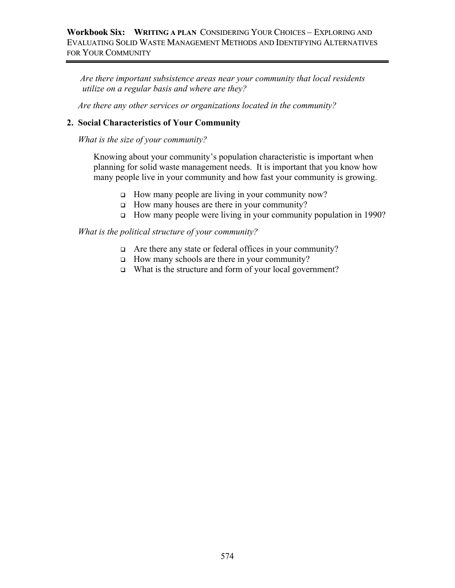*Are there important subsistence areas near your community that local residents utilize on a regular basis and where are they?* 

 *Are there any other services or organizations located in the community?* 

## **2. Social Characteristics of Your Community**

*What is the size of your community?* 

Knowing about your community's population characteristic is important when planning for solid waste management needs. It is important that you know how many people live in your community and how fast your community is growing.

- □ How many people are living in your community now?
- $\Box$  How many houses are there in your community?
- How many people were living in your community population in 1990?

#### *What is the political structure of your community?*

- Are there any state or federal offices in your community?
- $\Box$  How many schools are there in your community?
- □ What is the structure and form of your local government?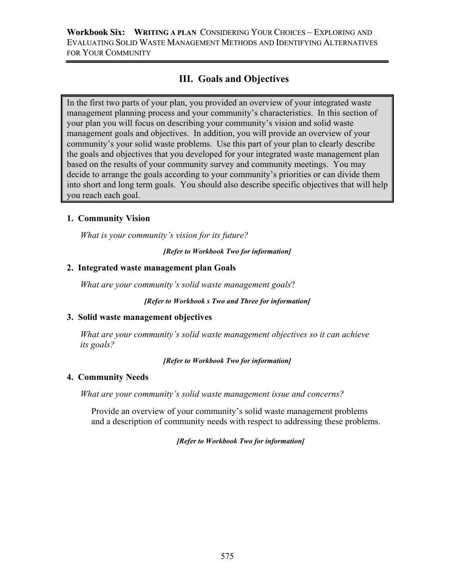# **III. Goals and Objectives**

In the first two parts of your plan, you provided an overview of your integrated waste management planning process and your community's characteristics. In this section of your plan you will focus on describing your community's vision and solid waste management goals and objectives. In addition, you will provide an overview of your community's your solid waste problems. Use this part of your plan to clearly describe the goals and objectives that you developed for your integrated waste management plan based on the results of your community survey and community meetings. You may decide to arrange the goals according to your community's priorities or can divide them into short and long term goals. You should also describe specific objectives that will help you reach each goal.

## **1. Community Vision**

*What is your community's vision for its future?* 

*[Refer to Workbook Two for information]* 

#### **2. Integrated waste management plan Goals**

*What are your community's solid waste management goals*?

*[Refer to Workbook s Two and Three for information]* 

#### **3. Solid waste management objectives**

*What are your community's solid waste management objectives so it can achieve its goals?*

*[Refer to Workbook Two for information]* 

#### **4. Community Needs**

*What are your community's solid waste management issue and concerns?* 

 Provide an overview of your community's solid waste management problems and a description of community needs with respect to addressing these problems.

*[Refer to Workbook Two for information]*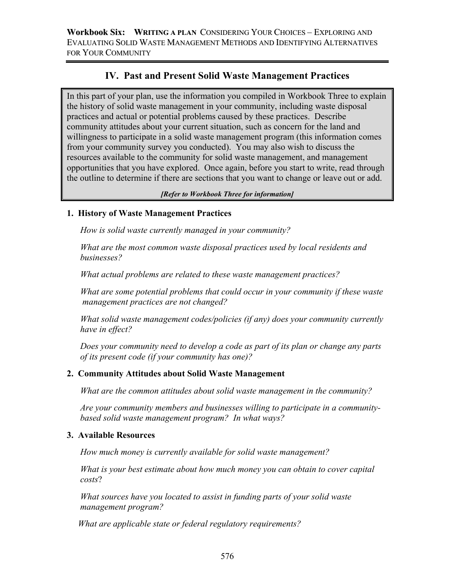# **IV. Past and Present Solid Waste Management Practices**

In this part of your plan, use the information you compiled in Workbook Three to explain the history of solid waste management in your community, including waste disposal practices and actual or potential problems caused by these practices. Describe community attitudes about your current situation, such as concern for the land and willingness to participate in a solid waste management program (this information comes from your community survey you conducted). You may also wish to discuss the resources available to the community for solid waste management, and management opportunities that you have explored. Once again, before you start to write, read through the outline to determine if there are sections that you want to change or leave out or add.

#### *[Refer to Workbook Three for information]*

## **1. History of Waste Management Practices**

*How is solid waste currently managed in your community?* 

*What are the most common waste disposal practices used by local residents and businesses?* 

*What actual problems are related to these waste management practices?* 

*What are some potential problems that could occur in your community if these waste management practices are not changed?* 

*What solid waste management codes/policies (if any) does your community currently have in effect?* 

*Does your community need to develop a code as part of its plan or change any parts of its present code (if your community has one)?* 

# **2. Community Attitudes about Solid Waste Management**

*What are the common attitudes about solid waste management in the community?* 

*Are your community members and businesses willing to participate in a community based solid waste management program? In what ways?* 

## **3. Available Resources**

*How much money is currently available for solid waste management?* 

*What is your best estimate about how much money you can obtain to cover capital costs*?

*What sources have you located to assist in funding parts of your solid waste management program?* 

*What are applicable state or federal regulatory requirements?*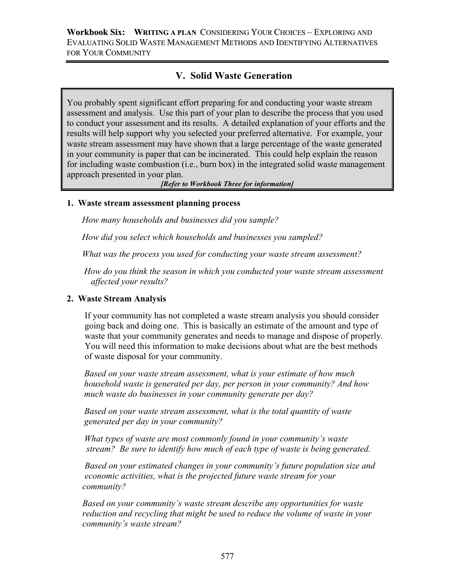# **V. Solid Waste Generation**

You probably spent significant effort preparing for and conducting your waste stream assessment and analysis. Use this part of your plan to describe the process that you used to conduct your assessment and its results. A detailed explanation of your efforts and the results will help support why you selected your preferred alternative. For example, your waste stream assessment may have shown that a large percentage of the waste generated in your community is paper that can be incinerated. This could help explain the reason for including waste combustion (i.e., burn box) in the integrated solid waste management approach presented in your plan.

*[Refer to Workbook Three for information]*

#### **1. Waste stream assessment planning process**

*How many households and businesses did you sample?*

*How did you select which households and businesses you sampled?* 

 *What was the process you used for conducting your waste stream assessment?* 

 *How do you think the season in which you conducted your waste stream assessment affected your results?* 

#### **2. Waste Stream Analysis**

 If your community has not completed a waste stream analysis you should consider going back and doing one. This is basically an estimate of the amount and type of waste that your community generates and needs to manage and dispose of properly. You will need this information to make decisions about what are the best methods of waste disposal for your community.

 *Based on your waste stream assessment, what is your estimate of how much household waste is generated per day, per person in your community? And how much waste do businesses in your community generate per day?* 

 *Based on your waste stream assessment, what is the total quantity of waste generated per day in your community?* 

 *What types of waste are most commonly found in your community's waste stream? Be sure to identify how much of each type of waste is being generated.* 

 *Based on your estimated changes in your community's future population size and economic activities, what is the projected future waste stream for your community?*

*Based on your community's waste stream describe any opportunities for waste reduction and recycling that might be used to reduce the volume of waste in your community's waste stream?*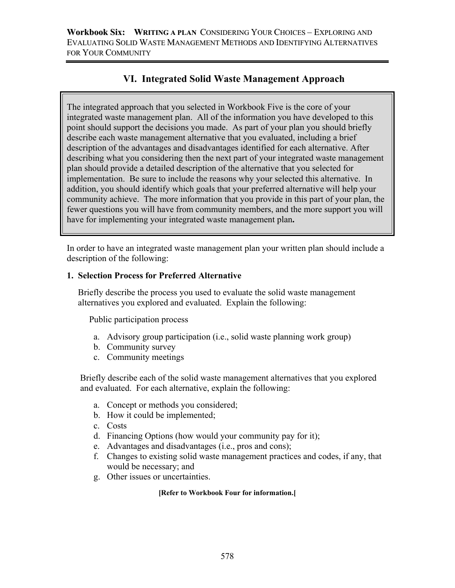# **VI. Integrated Solid Waste Management Approach**

The integrated approach that you selected in Workbook Five is the core of your integrated waste management plan. All of the information you have developed to this point should support the decisions you made. As part of your plan you should briefly describe each waste management alternative that you evaluated, including a brief description of the advantages and disadvantages identified for each alternative. After describing what you considering then the next part of your integrated waste management plan should provide a detailed description of the alternative that you selected for implementation. Be sure to include the reasons why your selected this alternative. In addition, you should identify which goals that your preferred alternative will help your community achieve. The more information that you provide in this part of your plan, the fewer questions you will have from community members, and the more support you will have for implementing your integrated waste management plan**.** 

In order to have an integrated waste management plan your written plan should include a description of the following:

#### **1. Selection Process for Preferred Alternative**

 Briefly describe the process you used to evaluate the solid waste management alternatives you explored and evaluated. Explain the following:

Public participation process

- a. Advisory group participation (i.e., solid waste planning work group)
- b. Community survey
- c. Community meetings

 Briefly describe each of the solid waste management alternatives that you explored and evaluated. For each alternative, explain the following:

- a. Concept or methods you considered;
- b. How it could be implemented;
- c. Costs
- d. Financing Options (how would your community pay for it);
- e. Advantages and disadvantages (i.e., pros and cons);
- f. Changes to existing solid waste management practices and codes, if any, that would be necessary; and
- g. Other issues or uncertainties.

#### **[Refer to Workbook Four for information.[**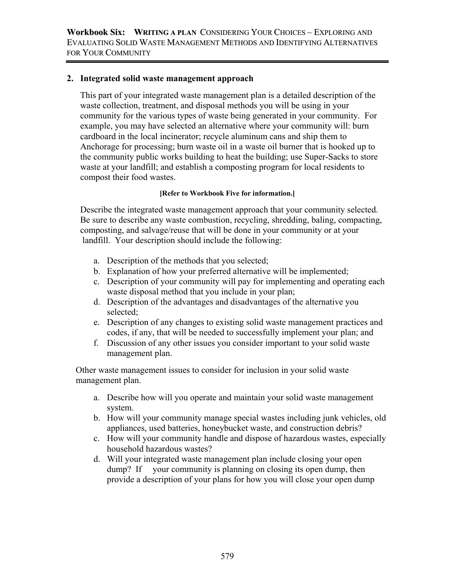#### **2. Integrated solid waste management approach**

This part of your integrated waste management plan is a detailed description of the waste collection, treatment, and disposal methods you will be using in your community for the various types of waste being generated in your community. For example, you may have selected an alternative where your community will: burn cardboard in the local incinerator; recycle aluminum cans and ship them to Anchorage for processing; burn waste oil in a waste oil burner that is hooked up to the community public works building to heat the building; use Super-Sacks to store waste at your landfill; and establish a composting program for local residents to compost their food wastes.

#### **[Refer to Workbook Five for information.[**

 Describe the integrated waste management approach that your community selected. Be sure to describe any waste combustion, recycling, shredding, baling, compacting, composting, and salvage/reuse that will be done in your community or at your landfill. Your description should include the following:

- a. Description of the methods that you selected;
- b. Explanation of how your preferred alternative will be implemented;
- c. Description of your community will pay for implementing and operating each waste disposal method that you include in your plan;
- d. Description of the advantages and disadvantages of the alternative you selected;
- e. Description of any changes to existing solid waste management practices and codes, if any, that will be needed to successfully implement your plan; and
- f. Discussion of any other issues you consider important to your solid waste management plan.

 Other waste management issues to consider for inclusion in your solid waste management plan.

- a. Describe how will you operate and maintain your solid waste management system.
- b. How will your community manage special wastes including junk vehicles, old appliances, used batteries, honeybucket waste, and construction debris?
- c. How will your community handle and dispose of hazardous wastes, especially household hazardous wastes?
- d. Will your integrated waste management plan include closing your open dump? If your community is planning on closing its open dump, then provide a description of your plans for how you will close your open dump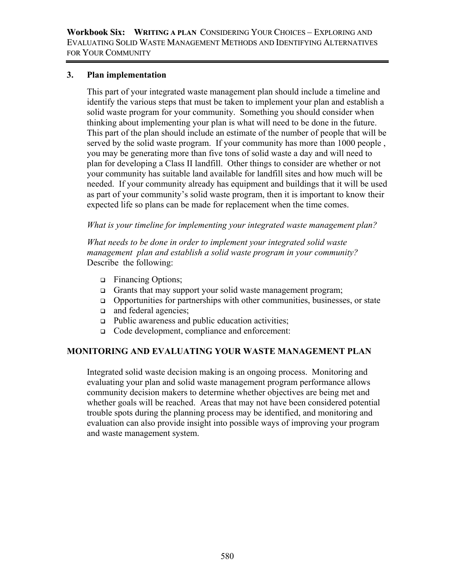#### **3. Plan implementation**

This part of your integrated waste management plan should include a timeline and identify the various steps that must be taken to implement your plan and establish a solid waste program for your community. Something you should consider when thinking about implementing your plan is what will need to be done in the future. This part of the plan should include an estimate of the number of people that will be served by the solid waste program. If your community has more than 1000 people , you may be generating more than five tons of solid waste a day and will need to plan for developing a Class II landfill. Other things to consider are whether or not your community has suitable land available for landfill sites and how much will be needed. If your community already has equipment and buildings that it will be used as part of your community's solid waste program, then it is important to know their expected life so plans can be made for replacement when the time comes.

*What is your timeline for implementing your integrated waste management plan?* 

 *What needs to be done in order to implement your integrated solid waste management plan and establish a solid waste program in your community?*  Describe the following:

- Financing Options;
- Grants that may support your solid waste management program;
- $\Box$  Opportunities for partnerships with other communities, businesses, or state
- **a** and federal agencies;
- $\Box$  Public awareness and public education activities;
- Code development, compliance and enforcement:

## **MONITORING AND EVALUATING YOUR WASTE MANAGEMENT PLAN**

Integrated solid waste decision making is an ongoing process. Monitoring and evaluating your plan and solid waste management program performance allows community decision makers to determine whether objectives are being met and whether goals will be reached. Areas that may not have been considered potential trouble spots during the planning process may be identified, and monitoring and evaluation can also provide insight into possible ways of improving your program and waste management system.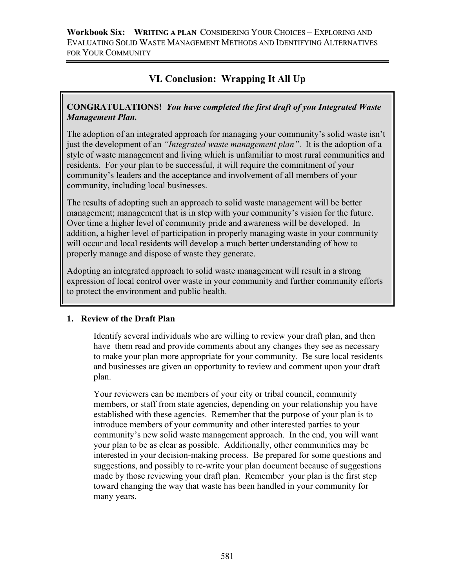# **VI. Conclusion: Wrapping It All Up**

# **CONGRATULATIONS!** *You have completed the first draft of you Integrated Waste Management Plan.*

The adoption of an integrated approach for managing your community's solid waste isn't just the development of an *"Integrated waste management plan"*. It is the adoption of a style of waste management and living which is unfamiliar to most rural communities and residents. For your plan to be successful, it will require the commitment of your community's leaders and the acceptance and involvement of all members of your community, including local businesses.

The results of adopting such an approach to solid waste management will be better management; management that is in step with your community's vision for the future. Over time a higher level of community pride and awareness will be developed. In addition, a higher level of participation in properly managing waste in your community will occur and local residents will develop a much better understanding of how to properly manage and dispose of waste they generate.

Adopting an integrated approach to solid waste management will result in a strong expression of local control over waste in your community and further community efforts to protect the environment and public health.

# **1. Review of the Draft Plan**

Identify several individuals who are willing to review your draft plan, and then have them read and provide comments about any changes they see as necessary to make your plan more appropriate for your community. Be sure local residents and businesses are given an opportunity to review and comment upon your draft plan.

Your reviewers can be members of your city or tribal council, community members, or staff from state agencies, depending on your relationship you have established with these agencies. Remember that the purpose of your plan is to introduce members of your community and other interested parties to your community's new solid waste management approach. In the end, you will want your plan to be as clear as possible. Additionally, other communities may be interested in your decision-making process. Be prepared for some questions and suggestions, and possibly to re-write your plan document because of suggestions made by those reviewing your draft plan. Remember your plan is the first step toward changing the way that waste has been handled in your community for many years.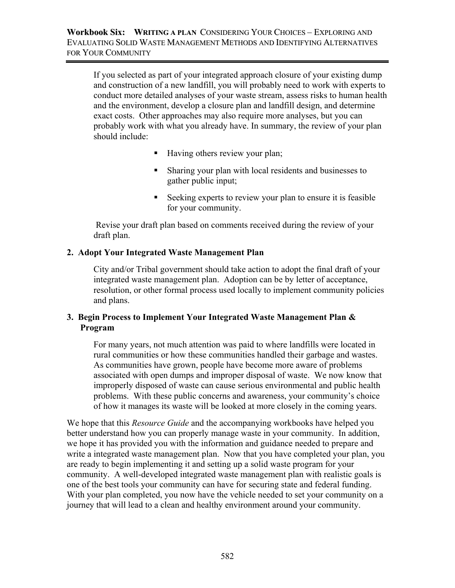If you selected as part of your integrated approach closure of your existing dump and construction of a new landfill, you will probably need to work with experts to conduct more detailed analyses of your waste stream, assess risks to human health and the environment, develop a closure plan and landfill design, and determine exact costs. Other approaches may also require more analyses, but you can probably work with what you already have. In summary, the review of your plan should include:

- Having others review your plan;
- Sharing your plan with local residents and businesses to gather public input;
- Seeking experts to review your plan to ensure it is feasible for your community.

 Revise your draft plan based on comments received during the review of your draft plan.

# **2. Adopt Your Integrated Waste Management Plan**

 City and/or Tribal government should take action to adopt the final draft of your integrated waste management plan. Adoption can be by letter of acceptance, resolution, or other formal process used locally to implement community policies and plans.

## **3. Begin Process to Implement Your Integrated Waste Management Plan & Program**

For many years, not much attention was paid to where landfills were located in rural communities or how these communities handled their garbage and wastes. As communities have grown, people have become more aware of problems associated with open dumps and improper disposal of waste. We now know that improperly disposed of waste can cause serious environmental and public health problems. With these public concerns and awareness, your community's choice of how it manages its waste will be looked at more closely in the coming years.

We hope that this *Resource Guide* and the accompanying workbooks have helped you better understand how you can properly manage waste in your community. In addition, we hope it has provided you with the information and guidance needed to prepare and write a integrated waste management plan. Now that you have completed your plan, you are ready to begin implementing it and setting up a solid waste program for your community. A well-developed integrated waste management plan with realistic goals is one of the best tools your community can have for securing state and federal funding. With your plan completed, you now have the vehicle needed to set your community on a journey that will lead to a clean and healthy environment around your community.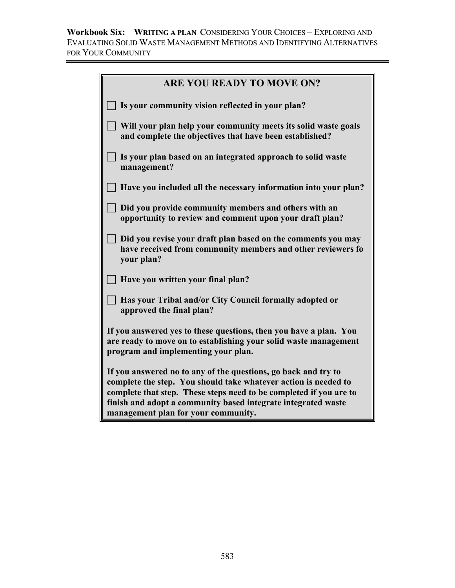**Workbook Six: WRITING A PLAN** CONSIDERING YOUR CHOICES – EXPLORING AND EVALUATING SOLID WASTE MANAGEMENT METHODS AND IDENTIFYING ALTERNATIVES FOR YOUR COMMUNITY

| <b>ARE YOU READY TO MOVE ON?</b>                                                                                                                                                                                                                                                                                |
|-----------------------------------------------------------------------------------------------------------------------------------------------------------------------------------------------------------------------------------------------------------------------------------------------------------------|
| Is your community vision reflected in your plan?                                                                                                                                                                                                                                                                |
| Will your plan help your community meets its solid waste goals<br>and complete the objectives that have been established?                                                                                                                                                                                       |
| Is your plan based on an integrated approach to solid waste<br>management?                                                                                                                                                                                                                                      |
| Have you included all the necessary information into your plan?                                                                                                                                                                                                                                                 |
| Did you provide community members and others with an<br>opportunity to review and comment upon your draft plan?                                                                                                                                                                                                 |
| Did you revise your draft plan based on the comments you may<br>have received from community members and other reviewers fo<br>your plan?                                                                                                                                                                       |
| Have you written your final plan?                                                                                                                                                                                                                                                                               |
| Has your Tribal and/or City Council formally adopted or<br>approved the final plan?                                                                                                                                                                                                                             |
| If you answered yes to these questions, then you have a plan. You<br>are ready to move on to establishing your solid waste management<br>program and implementing your plan.                                                                                                                                    |
| If you answered no to any of the questions, go back and try to<br>complete the step. You should take whatever action is needed to<br>complete that step. These steps need to be completed if you are to<br>finish and adopt a community based integrate integrated waste<br>management plan for your community. |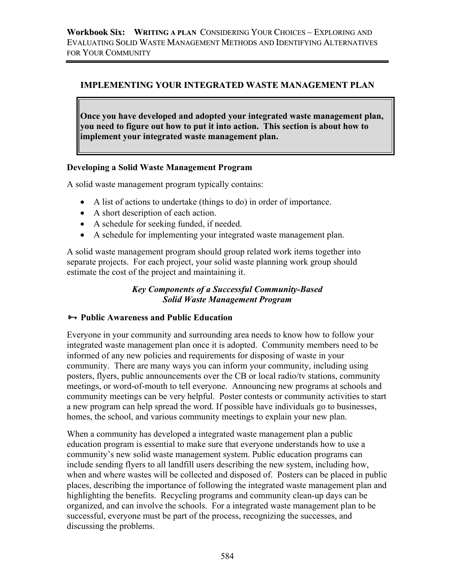## **IMPLEMENTING YOUR INTEGRATED WASTE MANAGEMENT PLAN**

**Once you have developed and adopted your integrated waste management plan, you need to figure out how to put it into action. This section is about how to implement your integrated waste management plan.** 

## **Developing a Solid Waste Management Program**

A solid waste management program typically contains:

- A list of actions to undertake (things to do) in order of importance.
- A short description of each action.
- A schedule for seeking funded, if needed.
- A schedule for implementing your integrated waste management plan.

A solid waste management program should group related work items together into separate projects. For each project, your solid waste planning work group should estimate the cost of the project and maintaining it.

## *Key Components of a Successful Community-Based Solid Waste Management Program*

## ³ **Public Awareness and Public Education**

Everyone in your community and surrounding area needs to know how to follow your integrated waste management plan once it is adopted. Community members need to be informed of any new policies and requirements for disposing of waste in your community. There are many ways you can inform your community, including using posters, flyers, public announcements over the CB or local radio/tv stations, community meetings, or word-of-mouth to tell everyone. Announcing new programs at schools and community meetings can be very helpful. Poster contests or community activities to start a new program can help spread the word. If possible have individuals go to businesses, homes, the school, and various community meetings to explain your new plan.

When a community has developed a integrated waste management plan a public education program is essential to make sure that everyone understands how to use a community's new solid waste management system. Public education programs can include sending flyers to all landfill users describing the new system, including how, when and where wastes will be collected and disposed of. Posters can be placed in public places, describing the importance of following the integrated waste management plan and highlighting the benefits. Recycling programs and community clean-up days can be organized, and can involve the schools. For a integrated waste management plan to be successful, everyone must be part of the process, recognizing the successes, and discussing the problems.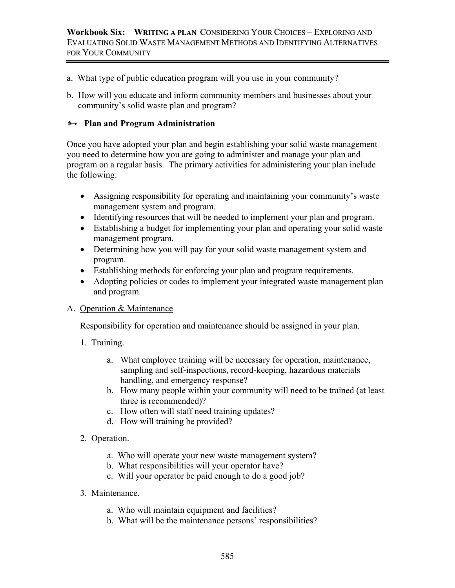- a. What type of public education program will you use in your community?
- b. How will you educate and inform community members and businesses about your community's solid waste plan and program?

#### $\rightarrow$  Plan and Program Administration

Once you have adopted your plan and begin establishing your solid waste management you need to determine how you are going to administer and manage your plan and program on a regular basis. The primary activities for administering your plan include the following:

- Assigning responsibility for operating and maintaining your community's waste management system and program.
- Identifying resources that will be needed to implement your plan and program.
- Establishing a budget for implementing your plan and operating your solid waste management program.
- Determining how you will pay for your solid waste management system and program.
- Establishing methods for enforcing your plan and program requirements.
- Adopting policies or codes to implement your integrated waste management plan and program.

## A. Operation & Maintenance

Responsibility for operation and maintenance should be assigned in your plan.

- 1. Training.
	- a. What employee training will be necessary for operation, maintenance, sampling and self-inspections, record-keeping, hazardous materials handling, and emergency response?
	- b. How many people within your community will need to be trained (at least three is recommended)?
	- c. How often will staff need training updates?
	- d. How will training be provided?
- 2. Operation.
	- a. Who will operate your new waste management system?
	- b. What responsibilities will your operator have?
	- c. Will your operator be paid enough to do a good job?
- 3. Maintenance.
	- a. Who will maintain equipment and facilities?
	- b. What will be the maintenance persons' responsibilities?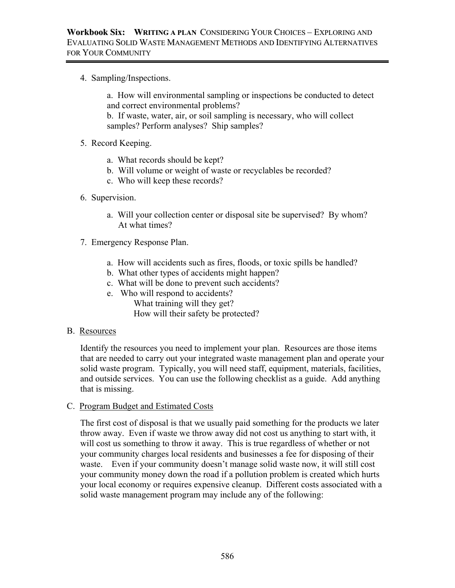4. Sampling/Inspections.

a. How will environmental sampling or inspections be conducted to detect and correct environmental problems?

b. If waste, water, air, or soil sampling is necessary, who will collect samples? Perform analyses? Ship samples?

- 5. Record Keeping.
	- a. What records should be kept?
	- b. Will volume or weight of waste or recyclables be recorded?
	- c. Who will keep these records?
- 6. Supervision.
	- a. Will your collection center or disposal site be supervised? By whom? At what times?
- 7. Emergency Response Plan.
	- a. How will accidents such as fires, floods, or toxic spills be handled?
	- b. What other types of accidents might happen?
	- c. What will be done to prevent such accidents?
	- e. Who will respond to accidents? What training will they get? How will their safety be protected?

#### B. Resources

Identify the resources you need to implement your plan. Resources are those items that are needed to carry out your integrated waste management plan and operate your solid waste program. Typically, you will need staff, equipment, materials, facilities, and outside services. You can use the following checklist as a guide. Add anything that is missing.

C. Program Budget and Estimated Costs

The first cost of disposal is that we usually paid something for the products we later throw away. Even if waste we throw away did not cost us anything to start with, it will cost us something to throw it away. This is true regardless of whether or not your community charges local residents and businesses a fee for disposing of their waste. Even if your community doesn't manage solid waste now, it will still cost your community money down the road if a pollution problem is created which hurts your local economy or requires expensive cleanup. Different costs associated with a solid waste management program may include any of the following: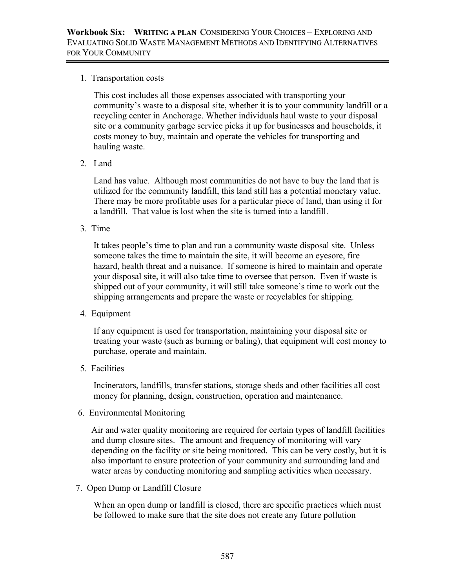1. Transportation costs

This cost includes all those expenses associated with transporting your community's waste to a disposal site, whether it is to your community landfill or a recycling center in Anchorage. Whether individuals haul waste to your disposal site or a community garbage service picks it up for businesses and households, it costs money to buy, maintain and operate the vehicles for transporting and hauling waste.

2. Land

Land has value. Although most communities do not have to buy the land that is utilized for the community landfill, this land still has a potential monetary value. There may be more profitable uses for a particular piece of land, than using it for a landfill. That value is lost when the site is turned into a landfill.

3. Time

It takes people's time to plan and run a community waste disposal site. Unless someone takes the time to maintain the site, it will become an eyesore, fire hazard, health threat and a nuisance. If someone is hired to maintain and operate your disposal site, it will also take time to oversee that person. Even if waste is shipped out of your community, it will still take someone's time to work out the shipping arrangements and prepare the waste or recyclables for shipping.

4. Equipment

If any equipment is used for transportation, maintaining your disposal site or treating your waste (such as burning or baling), that equipment will cost money to purchase, operate and maintain.

5. Facilities

 Incinerators, landfills, transfer stations, storage sheds and other facilities all cost money for planning, design, construction, operation and maintenance.

6. Environmental Monitoring

Air and water quality monitoring are required for certain types of landfill facilities and dump closure sites. The amount and frequency of monitoring will vary depending on the facility or site being monitored. This can be very costly, but it is also important to ensure protection of your community and surrounding land and water areas by conducting monitoring and sampling activities when necessary.

7. Open Dump or Landfill Closure

When an open dump or landfill is closed, there are specific practices which must be followed to make sure that the site does not create any future pollution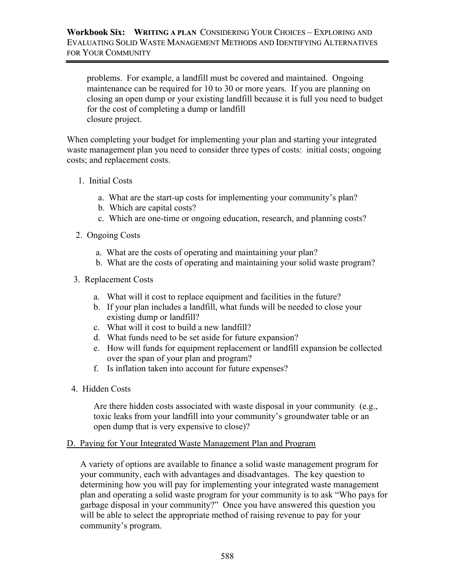problems. For example, a landfill must be covered and maintained. Ongoing maintenance can be required for 10 to 30 or more years. If you are planning on closing an open dump or your existing landfill because it is full you need to budget for the cost of completing a dump or landfill closure project.

When completing your budget for implementing your plan and starting your integrated waste management plan you need to consider three types of costs: initial costs; ongoing costs; and replacement costs.

- 1. Initial Costs
	- a. What are the start-up costs for implementing your community's plan?
	- b. Which are capital costs?
	- c. Which are one-time or ongoing education, research, and planning costs?
- 2. Ongoing Costs
	- a. What are the costs of operating and maintaining your plan?
	- b. What are the costs of operating and maintaining your solid waste program?
- 3. Replacement Costs
	- a. What will it cost to replace equipment and facilities in the future?
	- b. If your plan includes a landfill, what funds will be needed to close your existing dump or landfill?
	- c. What will it cost to build a new landfill?
	- d. What funds need to be set aside for future expansion?
	- e. How will funds for equipment replacement or landfill expansion be collected over the span of your plan and program?
	- f. Is inflation taken into account for future expenses?
- 4. Hidden Costs

Are there hidden costs associated with waste disposal in your community (e.g., toxic leaks from your landfill into your community's groundwater table or an open dump that is very expensive to close)?

#### D. Paying for Your Integrated Waste Management Plan and Program

A variety of options are available to finance a solid waste management program for your community, each with advantages and disadvantages. The key question to determining how you will pay for implementing your integrated waste management plan and operating a solid waste program for your community is to ask "Who pays for garbage disposal in your community?" Once you have answered this question you will be able to select the appropriate method of raising revenue to pay for your community's program.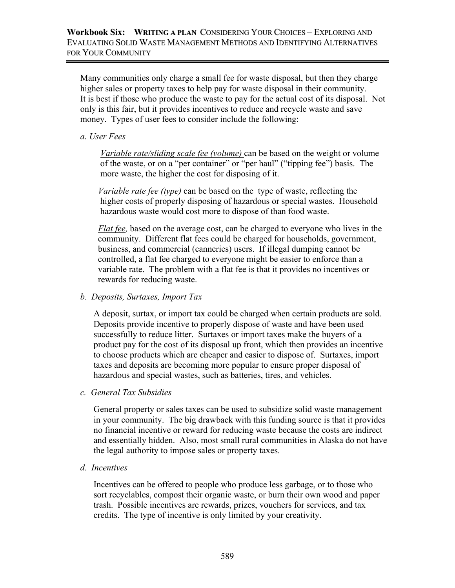Many communities only charge a small fee for waste disposal, but then they charge higher sales or property taxes to help pay for waste disposal in their community. It is best if those who produce the waste to pay for the actual cost of its disposal. Not only is this fair, but it provides incentives to reduce and recycle waste and save money. Types of user fees to consider include the following:

#### *a. User Fees*

 *Variable rate/sliding scale fee (volume)* can be based on the weight or volume of the waste, or on a "per container" or "per haul" ("tipping fee") basis. The more waste, the higher the cost for disposing of it.

 *Variable rate fee (type)* can be based on the type of waste, reflecting the higher costs of properly disposing of hazardous or special wastes. Household hazardous waste would cost more to dispose of than food waste.

 *Flat fee,* based on the average cost, can be charged to everyone who lives in the community. Different flat fees could be charged for households, government, business, and commercial (canneries) users. If illegal dumping cannot be controlled, a flat fee charged to everyone might be easier to enforce than a variable rate. The problem with a flat fee is that it provides no incentives or rewards for reducing waste.

## *b. Deposits, Surtaxes, Import Tax*

A deposit, surtax, or import tax could be charged when certain products are sold. Deposits provide incentive to properly dispose of waste and have been used successfully to reduce litter. Surtaxes or import taxes make the buyers of a product pay for the cost of its disposal up front, which then provides an incentive to choose products which are cheaper and easier to dispose of. Surtaxes, import taxes and deposits are becoming more popular to ensure proper disposal of hazardous and special wastes, such as batteries, tires, and vehicles.

*c. General Tax Subsidies* 

General property or sales taxes can be used to subsidize solid waste management in your community. The big drawback with this funding source is that it provides no financial incentive or reward for reducing waste because the costs are indirect and essentially hidden. Also, most small rural communities in Alaska do not have the legal authority to impose sales or property taxes.

*d. Incentives* 

Incentives can be offered to people who produce less garbage, or to those who sort recyclables, compost their organic waste, or burn their own wood and paper trash. Possible incentives are rewards, prizes, vouchers for services, and tax credits. The type of incentive is only limited by your creativity.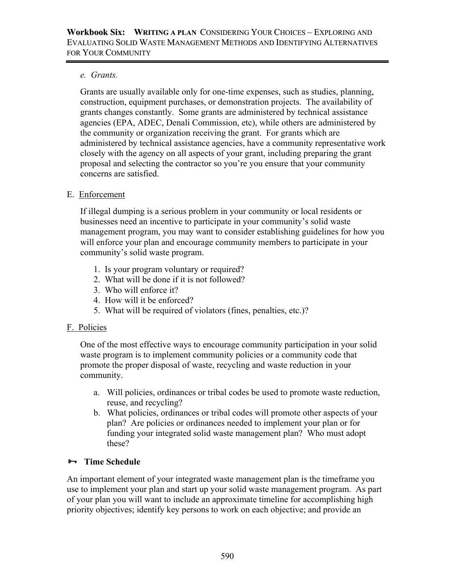## *e. Grants.*

Grants are usually available only for one-time expenses, such as studies, planning, construction, equipment purchases, or demonstration projects. The availability of grants changes constantly. Some grants are administered by technical assistance agencies (EPA, ADEC, Denali Commission, etc), while others are administered by the community or organization receiving the grant. For grants which are administered by technical assistance agencies, have a community representative work closely with the agency on all aspects of your grant, including preparing the grant proposal and selecting the contractor so you're you ensure that your community concerns are satisfied.

## E. Enforcement

If illegal dumping is a serious problem in your community or local residents or businesses need an incentive to participate in your community's solid waste management program, you may want to consider establishing guidelines for how you will enforce your plan and encourage community members to participate in your community's solid waste program.

- 1. Is your program voluntary or required?
- 2. What will be done if it is not followed?
- 3. Who will enforce it?
- 4. How will it be enforced?
- 5. What will be required of violators (fines, penalties, etc.)?

# F. Policies

One of the most effective ways to encourage community participation in your solid waste program is to implement community policies or a community code that promote the proper disposal of waste, recycling and waste reduction in your community.

- a. Will policies, ordinances or tribal codes be used to promote waste reduction, reuse, and recycling?
- b. What policies, ordinances or tribal codes will promote other aspects of your plan? Are policies or ordinances needed to implement your plan or for funding your integrated solid waste management plan? Who must adopt these?

# ³ **Time Schedule**

An important element of your integrated waste management plan is the timeframe you use to implement your plan and start up your solid waste management program. As part of your plan you will want to include an approximate timeline for accomplishing high priority objectives; identify key persons to work on each objective; and provide an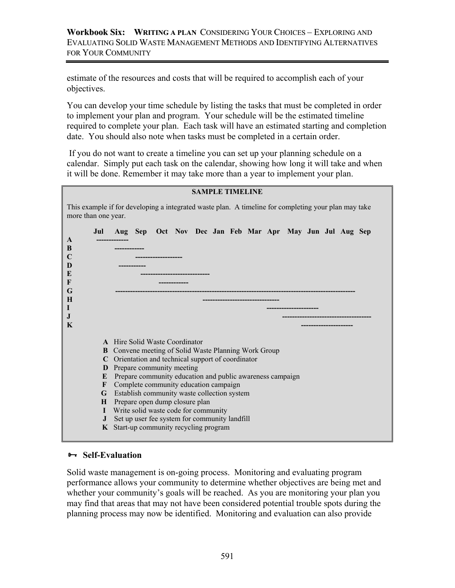estimate of the resources and costs that will be required to accomplish each of your objectives.

You can develop your time schedule by listing the tasks that must be completed in order to implement your plan and program. Your schedule will be the estimated timeline required to complete your plan. Each task will have an estimated starting and completion date. You should also note when tasks must be completed in a certain order.

 If you do not want to create a timeline you can set up your planning schedule on a calendar. Simply put each task on the calendar, showing how long it will take and when it will be done. Remember it may take more than a year to implement your plan.

| <b>SAMPLE TIMELINE</b>                                                                                                      |   |                                                                                                                                                                                                                                                                                                                                                                                                                                                                                                          |  |  |  |  |  |  |  |  |  |  |
|-----------------------------------------------------------------------------------------------------------------------------|---|----------------------------------------------------------------------------------------------------------------------------------------------------------------------------------------------------------------------------------------------------------------------------------------------------------------------------------------------------------------------------------------------------------------------------------------------------------------------------------------------------------|--|--|--|--|--|--|--|--|--|--|
| This example if for developing a integrated waste plan. A timeline for completing your plan may take<br>more than one year. |   |                                                                                                                                                                                                                                                                                                                                                                                                                                                                                                          |  |  |  |  |  |  |  |  |  |  |
| Jul<br>A<br>B<br>$\mathbf C$<br>D<br>E<br>F<br>G<br>H<br>$\bf{l}$<br>$\mathbf{J}$<br>K                                      |   | Aug Sep Oct Nov Dec Jan Feb Mar Apr May Jun Jul Aug Sep                                                                                                                                                                                                                                                                                                                                                                                                                                                  |  |  |  |  |  |  |  |  |  |  |
| B<br>D<br>E<br>F<br>H<br>L<br>J                                                                                             | K | <b>A</b> Hire Solid Waste Coordinator<br>Convene meeting of Solid Waste Planning Work Group<br>C Orientation and technical support of coordinator<br>Prepare community meeting<br>Prepare community education and public awareness campaign<br>Complete community education campaign<br>G Establish community waste collection system<br>Prepare open dump closure plan<br>Write solid waste code for community<br>Set up user fee system for community landfill<br>Start-up community recycling program |  |  |  |  |  |  |  |  |  |  |

## $\rightarrow$  Self-Evaluation

Solid waste management is on-going process. Monitoring and evaluating program performance allows your community to determine whether objectives are being met and whether your community's goals will be reached. As you are monitoring your plan you may find that areas that may not have been considered potential trouble spots during the planning process may now be identified. Monitoring and evaluation can also provide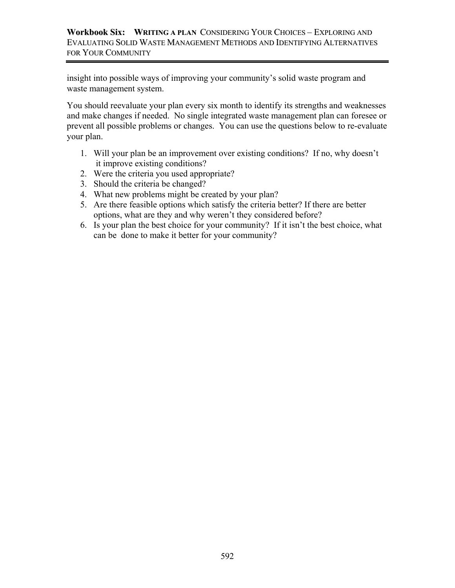insight into possible ways of improving your community's solid waste program and waste management system.

You should reevaluate your plan every six month to identify its strengths and weaknesses and make changes if needed. No single integrated waste management plan can foresee or prevent all possible problems or changes. You can use the questions below to re-evaluate your plan.

- 1. Will your plan be an improvement over existing conditions? If no, why doesn't it improve existing conditions?
- 2. Were the criteria you used appropriate?
- 3. Should the criteria be changed?
- 4. What new problems might be created by your plan?
- 5. Are there feasible options which satisfy the criteria better? If there are better options, what are they and why weren't they considered before?
- 6. Is your plan the best choice for your community? If it isn't the best choice, what can be done to make it better for your community?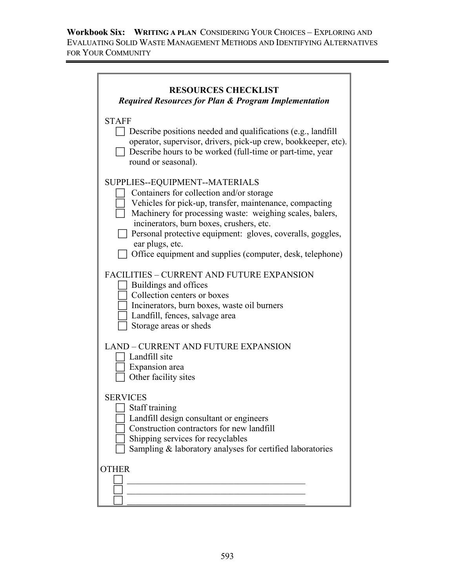**Workbook Six: WRITING A PLAN** CONSIDERING YOUR CHOICES – EXPLORING AND EVALUATING SOLID WASTE MANAGEMENT METHODS AND IDENTIFYING ALTERNATIVES FOR YOUR COMMUNITY

| <b>RESOURCES CHECKLIST</b><br><b>Required Resources for Plan &amp; Program Implementation</b>                                                                                                                                                                                                                                                                                               |
|---------------------------------------------------------------------------------------------------------------------------------------------------------------------------------------------------------------------------------------------------------------------------------------------------------------------------------------------------------------------------------------------|
| <b>STAFF</b><br>$\Box$ Describe positions needed and qualifications (e.g., landfill<br>operator, supervisor, drivers, pick-up crew, bookkeeper, etc).<br>Describe hours to be worked (full-time or part-time, year<br>round or seasonal).                                                                                                                                                   |
| SUPPLIES--EQUIPMENT--MATERIALS<br>Containers for collection and/or storage<br>Vehicles for pick-up, transfer, maintenance, compacting<br>Machinery for processing waste: weighing scales, balers,<br>incinerators, burn boxes, crushers, etc.<br>Personal protective equipment: gloves, coveralls, goggles,<br>ear plugs, etc.<br>Office equipment and supplies (computer, desk, telephone) |
| <b>FACILITIES - CURRENT AND FUTURE EXPANSION</b><br>Buildings and offices<br>Collection centers or boxes<br>Incinerators, burn boxes, waste oil burners<br>Landfill, fences, salvage area<br>Storage areas or sheds                                                                                                                                                                         |
| <b>LAND – CURRENT AND FUTURE EXPANSION</b><br>Landfill site<br>Expansion area<br>Other facility sites                                                                                                                                                                                                                                                                                       |
| <b>SERVICES</b><br>$\Box$ Staff training<br>Landfill design consultant or engineers<br>Construction contractors for new landfill<br>Shipping services for recyclables<br>Sampling & laboratory analyses for certified laboratories                                                                                                                                                          |
| <b>OTHER</b>                                                                                                                                                                                                                                                                                                                                                                                |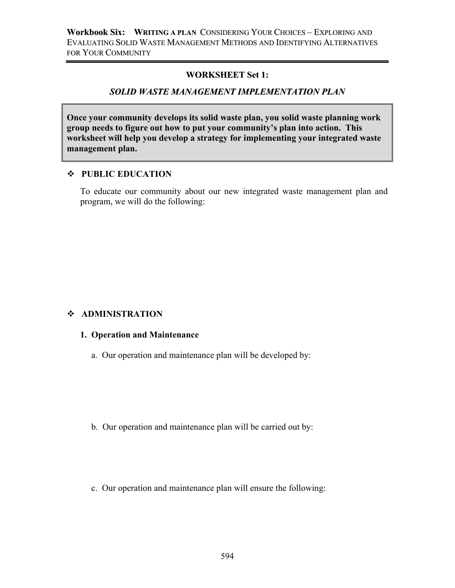#### **WORKSHEET Set 1:**

#### *SOLID WASTE MANAGEMENT IMPLEMENTATION PLAN*

**Once your community develops its solid waste plan, you solid waste planning work group needs to figure out how to put your community's plan into action. This worksheet will help you develop a strategy for implementing your integrated waste management plan.** 

#### **PUBLIC EDUCATION**

To educate our community about our new integrated waste management plan and program, we will do the following:

## **ADMINISTRATION**

#### **1. Operation and Maintenance**

a. Our operation and maintenance plan will be developed by:

- b. Our operation and maintenance plan will be carried out by:
- c. Our operation and maintenance plan will ensure the following: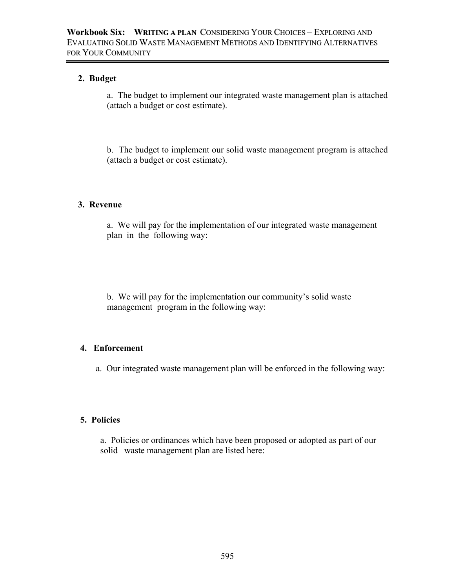## **2. Budget**

a. The budget to implement our integrated waste management plan is attached (attach a budget or cost estimate).

b. The budget to implement our solid waste management program is attached (attach a budget or cost estimate).

#### **3. Revenue**

a. We will pay for the implementation of our integrated waste management plan in the following way:

b. We will pay for the implementation our community's solid waste management program in the following way:

# **4. Enforcement**

a. Our integrated waste management plan will be enforced in the following way:

#### **5. Policies**

a. Policies or ordinances which have been proposed or adopted as part of our solid waste management plan are listed here: